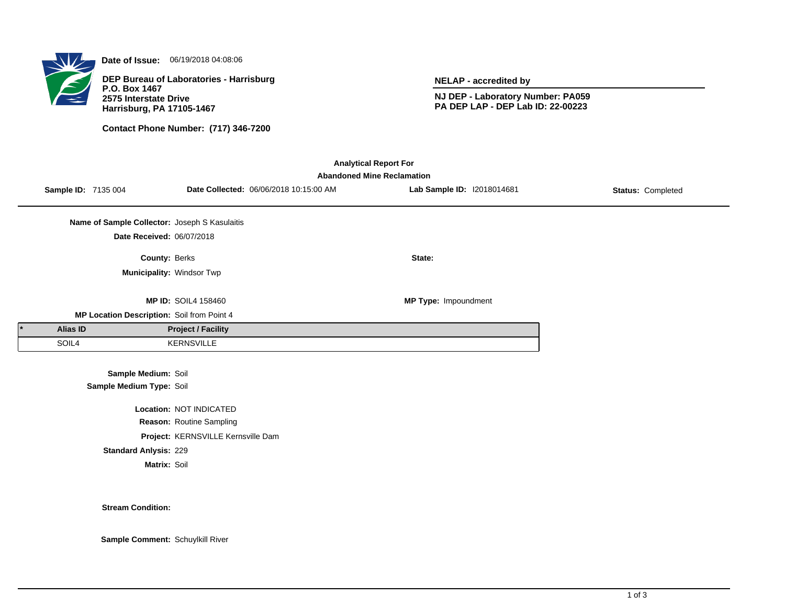

**Date of Issue:** 06/19/2018 04:08:06

**DEP Bureau of Laboratories - Harrisburg P.O. Box 1467 2575 Interstate Drive Harrisburg, PA 17105-1467**

**Contact Phone Number: (717) 346-7200**

**NELAP - accredited by**

**NJ DEP - Laboratory Number: PA059 PA DEP LAP - DEP Lab ID: 22-00223**

| <b>Analytical Report For</b> |                                   |                                               |                                    |                                        |                            |                   |  |  |  |  |
|------------------------------|-----------------------------------|-----------------------------------------------|------------------------------------|----------------------------------------|----------------------------|-------------------|--|--|--|--|
|                              | <b>Abandoned Mine Reclamation</b> |                                               |                                    |                                        |                            |                   |  |  |  |  |
|                              | Sample ID: 7135 004               |                                               |                                    | Date Collected: 06/06/2018 10:15:00 AM | Lab Sample ID: 12018014681 | Status: Completed |  |  |  |  |
|                              |                                   |                                               |                                    |                                        |                            |                   |  |  |  |  |
|                              |                                   | Name of Sample Collector: Joseph S Kasulaitis |                                    |                                        |                            |                   |  |  |  |  |
|                              |                                   | Date Received: 06/07/2018                     |                                    |                                        |                            |                   |  |  |  |  |
|                              |                                   | County: Berks                                 |                                    |                                        | State:                     |                   |  |  |  |  |
|                              |                                   | Municipality: Windsor Twp                     |                                    |                                        |                            |                   |  |  |  |  |
|                              |                                   |                                               |                                    |                                        |                            |                   |  |  |  |  |
|                              |                                   |                                               | <b>MP ID: SOIL4 158460</b>         |                                        | MP Type: Impoundment       |                   |  |  |  |  |
|                              |                                   | MP Location Description: Soil from Point 4    |                                    |                                        |                            |                   |  |  |  |  |
|                              | Alias ID                          |                                               | <b>Project / Facility</b>          |                                        |                            |                   |  |  |  |  |
|                              | SOIL4                             |                                               | <b>KERNSVILLE</b>                  |                                        |                            |                   |  |  |  |  |
|                              |                                   |                                               |                                    |                                        |                            |                   |  |  |  |  |
|                              |                                   | Sample Medium: Soil                           |                                    |                                        |                            |                   |  |  |  |  |
|                              |                                   | Sample Medium Type: Soil                      |                                    |                                        |                            |                   |  |  |  |  |
|                              |                                   |                                               | Location: NOT INDICATED            |                                        |                            |                   |  |  |  |  |
|                              |                                   |                                               | Reason: Routine Sampling           |                                        |                            |                   |  |  |  |  |
|                              |                                   |                                               | Project: KERNSVILLE Kernsville Dam |                                        |                            |                   |  |  |  |  |

**Standard Anlysis:** 229

**Matrix:** Soil

**Stream Condition:**

**Sample Comment:** Schuylkill River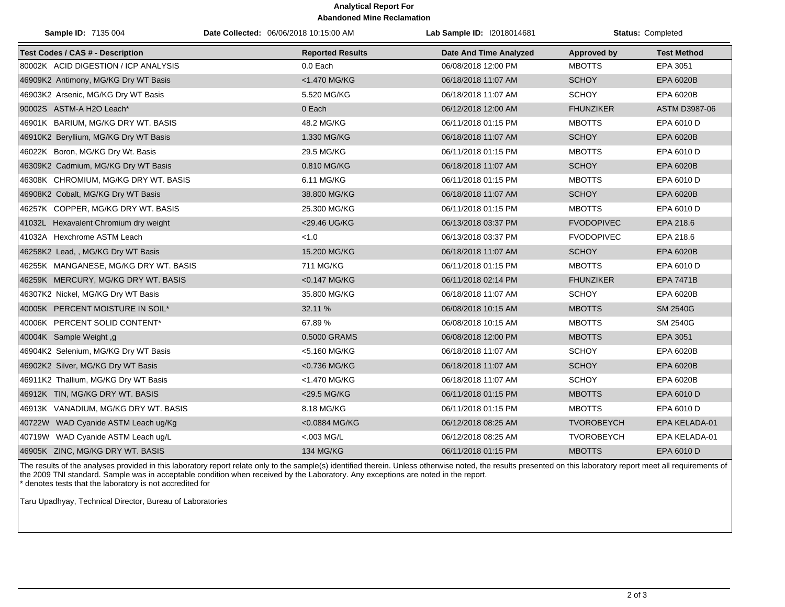## **Analytical Report For Abandoned Mine Reclamation**

| Sample ID: 7135 004                     | Date Collected: 06/06/2018 10:15:00 AM | Lab Sample ID: 12018014681    |                    | Status: Completed  |
|-----------------------------------------|----------------------------------------|-------------------------------|--------------------|--------------------|
| <b>Test Codes / CAS # - Description</b> | <b>Reported Results</b>                | <b>Date And Time Analyzed</b> | <b>Approved by</b> | <b>Test Method</b> |
| 80002K ACID DIGESTION / ICP ANALYSIS    | 0.0 Each                               | 06/08/2018 12:00 PM           | <b>MBOTTS</b>      | EPA 3051           |
| 46909K2 Antimony, MG/KG Dry WT Basis    | <1.470 MG/KG                           | 06/18/2018 11:07 AM           | <b>SCHOY</b>       | EPA 6020B          |
| 46903K2 Arsenic, MG/KG Dry WT Basis     | 5.520 MG/KG                            | 06/18/2018 11:07 AM           | <b>SCHOY</b>       | EPA 6020B          |
| 90002S ASTM-A H2O Leach*                | 0 Each                                 | 06/12/2018 12:00 AM           | <b>FHUNZIKER</b>   | ASTM D3987-06      |
| 46901K BARIUM, MG/KG DRY WT. BASIS      | 48.2 MG/KG                             | 06/11/2018 01:15 PM           | <b>MBOTTS</b>      | EPA 6010 D         |
| 46910K2 Beryllium, MG/KG Dry WT Basis   | 1.330 MG/KG                            | 06/18/2018 11:07 AM           | <b>SCHOY</b>       | EPA 6020B          |
| 46022K Boron, MG/KG Dry Wt. Basis       | 29.5 MG/KG                             | 06/11/2018 01:15 PM           | <b>MBOTTS</b>      | EPA 6010 D         |
| 46309K2 Cadmium, MG/KG Dry WT Basis     | 0.810 MG/KG                            | 06/18/2018 11:07 AM           | <b>SCHOY</b>       | EPA 6020B          |
| 46308K CHROMIUM, MG/KG DRY WT. BASIS    | 6.11 MG/KG                             | 06/11/2018 01:15 PM           | <b>MBOTTS</b>      | EPA 6010 D         |
| 46908K2 Cobalt, MG/KG Dry WT Basis      | 38.800 MG/KG                           | 06/18/2018 11:07 AM           | <b>SCHOY</b>       | EPA 6020B          |
| 46257K COPPER, MG/KG DRY WT. BASIS      | 25.300 MG/KG                           | 06/11/2018 01:15 PM           | <b>MBOTTS</b>      | EPA 6010 D         |
| 41032L Hexavalent Chromium dry weight   | <29.46 UG/KG                           | 06/13/2018 03:37 PM           | <b>FVODOPIVEC</b>  | EPA 218.6          |
| 41032A Hexchrome ASTM Leach             | < 1.0                                  | 06/13/2018 03:37 PM           | <b>FVODOPIVEC</b>  | EPA 218.6          |
| 46258K2 Lead,, MG/KG Dry WT Basis       | 15.200 MG/KG                           | 06/18/2018 11:07 AM           | <b>SCHOY</b>       | EPA 6020B          |
| 46255K MANGANESE, MG/KG DRY WT. BASIS   | 711 MG/KG                              | 06/11/2018 01:15 PM           | <b>MBOTTS</b>      | EPA 6010 D         |
| 46259K MERCURY, MG/KG DRY WT. BASIS     | <0.147 MG/KG                           | 06/11/2018 02:14 PM           | <b>FHUNZIKER</b>   | <b>EPA 7471B</b>   |
| 46307K2 Nickel, MG/KG Dry WT Basis      | 35.800 MG/KG                           | 06/18/2018 11:07 AM           | <b>SCHOY</b>       | EPA 6020B          |
| 40005K PERCENT MOISTURE IN SOIL*        | 32.11 %                                | 06/08/2018 10:15 AM           | <b>MBOTTS</b>      | <b>SM 2540G</b>    |
| 40006K PERCENT SOLID CONTENT*           | 67.89%                                 | 06/08/2018 10:15 AM           | <b>MBOTTS</b>      | <b>SM 2540G</b>    |
| 40004K Sample Weight, g                 | 0.5000 GRAMS                           | 06/08/2018 12:00 PM           | <b>MBOTTS</b>      | EPA 3051           |
| 46904K2 Selenium, MG/KG Dry WT Basis    | <5.160 MG/KG                           | 06/18/2018 11:07 AM           | <b>SCHOY</b>       | EPA 6020B          |
| 46902K2 Silver, MG/KG Dry WT Basis      | <0.736 MG/KG                           | 06/18/2018 11:07 AM           | <b>SCHOY</b>       | EPA 6020B          |
| 46911K2 Thallium, MG/KG Dry WT Basis    | <1.470 MG/KG                           | 06/18/2018 11:07 AM           | <b>SCHOY</b>       | EPA 6020B          |
| 46912K TIN, MG/KG DRY WT. BASIS         | <29.5 MG/KG                            | 06/11/2018 01:15 PM           | <b>MBOTTS</b>      | EPA 6010 D         |
| 46913K VANADIUM, MG/KG DRY WT. BASIS    | 8.18 MG/KG                             | 06/11/2018 01:15 PM           | <b>MBOTTS</b>      | EPA 6010 D         |
| 40722W WAD Cyanide ASTM Leach ug/Kg     | <0.0884 MG/KG                          | 06/12/2018 08:25 AM           | <b>TVOROBEYCH</b>  | EPA KELADA-01      |
| 40719W WAD Cyanide ASTM Leach ug/L      | <.003 MG/L                             | 06/12/2018 08:25 AM           | <b>TVOROBEYCH</b>  | EPA KELADA-01      |
| 46905K ZINC, MG/KG DRY WT. BASIS        | <b>134 MG/KG</b>                       | 06/11/2018 01:15 PM           | <b>MBOTTS</b>      | EPA 6010 D         |

The results of the analyses provided in this laboratory report relate only to the sample(s) identified therein. Unless otherwise noted, the results presented on this laboratory report meet all requirements of the 2009 TNI standard. Sample was in acceptable condition when received by the Laboratory. Any exceptions are noted in the report. \* denotes tests that the laboratory is not accredited for

Taru Upadhyay, Technical Director, Bureau of Laboratories